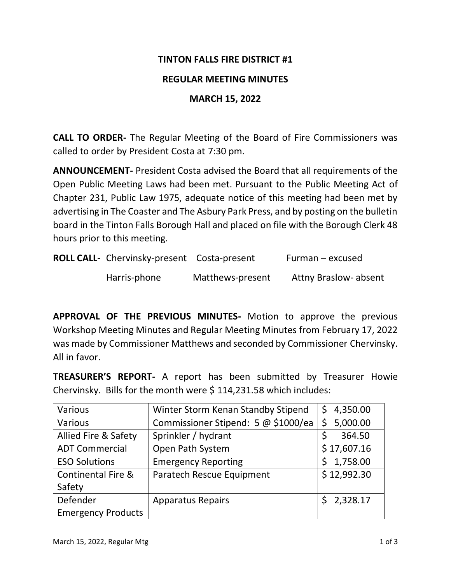## **TINTON FALLS FIRE DISTRICT #1**

### **REGULAR MEETING MINUTES**

### **MARCH 15, 2022**

**CALL TO ORDER-** The Regular Meeting of the Board of Fire Commissioners was called to order by President Costa at 7:30 pm.

**ANNOUNCEMENT-** President Costa advised the Board that all requirements of the Open Public Meeting Laws had been met. Pursuant to the Public Meeting Act of Chapter 231, Public Law 1975, adequate notice of this meeting had been met by advertising in The Coaster and The Asbury Park Press, and by posting on the bulletin board in the Tinton Falls Borough Hall and placed on file with the Borough Clerk 48 hours prior to this meeting.

| ROLL CALL- Chervinsky-present Costa-present |                  | Furman – excused             |
|---------------------------------------------|------------------|------------------------------|
| Harris-phone                                | Matthews-present | <b>Attny Braslow- absent</b> |

**APPROVAL OF THE PREVIOUS MINUTES-** Motion to approve the previous Workshop Meeting Minutes and Regular Meeting Minutes from February 17, 2022 was made by Commissioner Matthews and seconded by Commissioner Chervinsky. All in favor.

**TREASURER'S REPORT-** A report has been submitted by Treasurer Howie Chervinsky. Bills for the month were \$ 114,231.58 which includes:

| Various                       | Winter Storm Kenan Standby Stipend  | 4,350.00<br>\$. |
|-------------------------------|-------------------------------------|-----------------|
| Various                       | Commissioner Stipend: 5 @ \$1000/ea | 5,000.00<br>Ś   |
| Allied Fire & Safety          | Sprinkler / hydrant                 | Ś<br>364.50     |
| <b>ADT Commercial</b>         | Open Path System                    | \$17,607.16     |
| <b>ESO Solutions</b>          | <b>Emergency Reporting</b>          | 1,758.00<br>S   |
| <b>Continental Fire &amp;</b> | Paratech Rescue Equipment           | \$12,992.30     |
| Safety                        |                                     |                 |
| Defender                      | <b>Apparatus Repairs</b>            | \$2,328.17      |
| <b>Emergency Products</b>     |                                     |                 |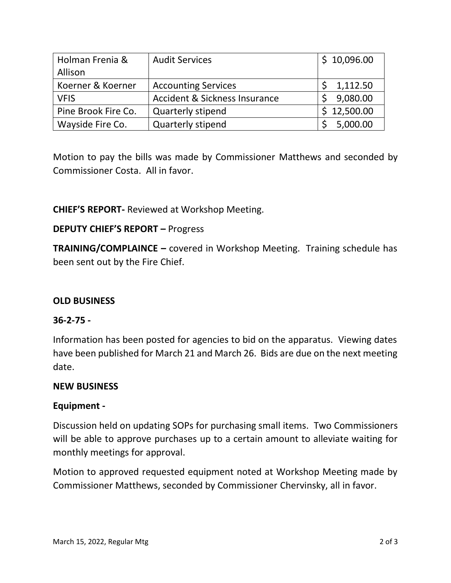| Holman Frenia &     | <b>Audit Services</b>         | \$10,096.00 |
|---------------------|-------------------------------|-------------|
| Allison             |                               |             |
| Koerner & Koerner   | <b>Accounting Services</b>    | 1,112.50    |
| <b>VFIS</b>         | Accident & Sickness Insurance | 9,080.00    |
| Pine Brook Fire Co. | <b>Quarterly stipend</b>      | \$12,500.00 |
| Wayside Fire Co.    | Quarterly stipend             | 5,000.00    |

Motion to pay the bills was made by Commissioner Matthews and seconded by Commissioner Costa. All in favor.

**CHIEF'S REPORT-** Reviewed at Workshop Meeting.

# **DEPUTY CHIEF'S REPORT –** Progress

**TRAINING/COMPLAINCE –** covered in Workshop Meeting. Training schedule has been sent out by the Fire Chief.

# **OLD BUSINESS**

#### **36-2-75 -**

Information has been posted for agencies to bid on the apparatus. Viewing dates have been published for March 21 and March 26. Bids are due on the next meeting date.

#### **NEW BUSINESS**

# **Equipment -**

Discussion held on updating SOPs for purchasing small items. Two Commissioners will be able to approve purchases up to a certain amount to alleviate waiting for monthly meetings for approval.

Motion to approved requested equipment noted at Workshop Meeting made by Commissioner Matthews, seconded by Commissioner Chervinsky, all in favor.